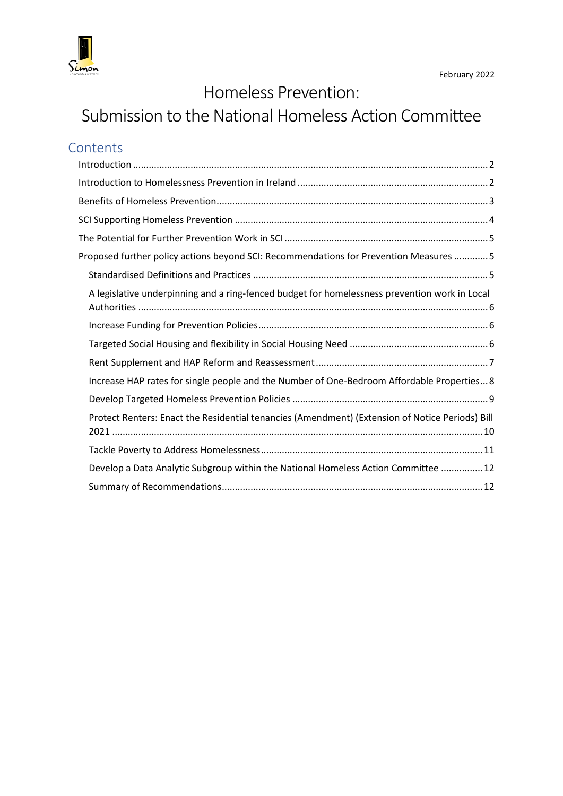

# Homeless Prevention:

# Submission to the National Homeless Action Committee

# **Contents**

| Proposed further policy actions beyond SCI: Recommendations for Prevention Measures  5          |
|-------------------------------------------------------------------------------------------------|
|                                                                                                 |
| A legislative underpinning and a ring-fenced budget for homelessness prevention work in Local   |
|                                                                                                 |
|                                                                                                 |
|                                                                                                 |
| Increase HAP rates for single people and the Number of One-Bedroom Affordable Properties 8      |
|                                                                                                 |
| Protect Renters: Enact the Residential tenancies (Amendment) (Extension of Notice Periods) Bill |
|                                                                                                 |
| Develop a Data Analytic Subgroup within the National Homeless Action Committee  12              |
|                                                                                                 |
|                                                                                                 |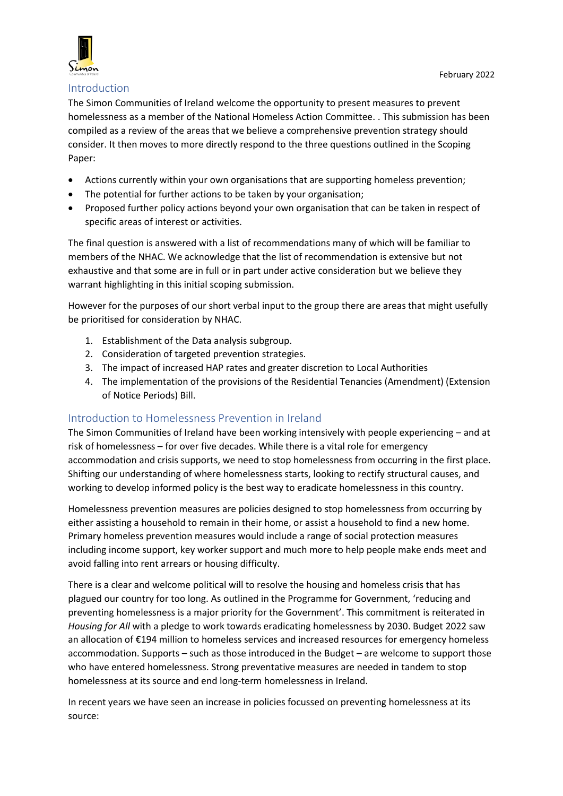

#### <span id="page-1-0"></span>Introduction

The Simon Communities of Ireland welcome the opportunity to present measures to prevent homelessness as a member of the National Homeless Action Committee. . This submission has been compiled as a review of the areas that we believe a comprehensive prevention strategy should consider. It then moves to more directly respond to the three questions outlined in the Scoping Paper:

- Actions currently within your own organisations that are supporting homeless prevention;
- The potential for further actions to be taken by your organisation;
- Proposed further policy actions beyond your own organisation that can be taken in respect of specific areas of interest or activities.

The final question is answered with a list of recommendations many of which will be familiar to members of the NHAC. We acknowledge that the list of recommendation is extensive but not exhaustive and that some are in full or in part under active consideration but we believe they warrant highlighting in this initial scoping submission.

However for the purposes of our short verbal input to the group there are areas that might usefully be prioritised for consideration by NHAC.

- 1. Establishment of the Data analysis subgroup.
- 2. Consideration of targeted prevention strategies.
- 3. The impact of increased HAP rates and greater discretion to Local Authorities
- 4. The implementation of the provisions of the Residential Tenancies (Amendment) (Extension of Notice Periods) Bill.

## <span id="page-1-1"></span>Introduction to Homelessness Prevention in Ireland

The Simon Communities of Ireland have been working intensively with people experiencing – and at risk of homelessness – for over five decades. While there is a vital role for emergency accommodation and crisis supports, we need to stop homelessness from occurring in the first place. Shifting our understanding of where homelessness starts, looking to rectify structural causes, and working to develop informed policy is the best way to eradicate homelessness in this country.

Homelessness prevention measures are policies designed to stop homelessness from occurring by either assisting a household to remain in their home, or assist a household to find a new home. Primary homeless prevention measures would include a range of social protection measures including income support, key worker support and much more to help people make ends meet and avoid falling into rent arrears or housing difficulty.

There is a clear and welcome political will to resolve the housing and homeless crisis that has plagued our country for too long. As outlined in the Programme for Government, 'reducing and preventing homelessness is a major priority for the Government'. This commitment is reiterated in *Housing for All* with a pledge to work towards eradicating homelessness by 2030. Budget 2022 saw an allocation of €194 million to homeless services and increased resources for emergency homeless accommodation. Supports – such as those introduced in the Budget – are welcome to support those who have entered homelessness. Strong preventative measures are needed in tandem to stop homelessness at its source and end long-term homelessness in Ireland.

In recent years we have seen an increase in policies focussed on preventing homelessness at its source: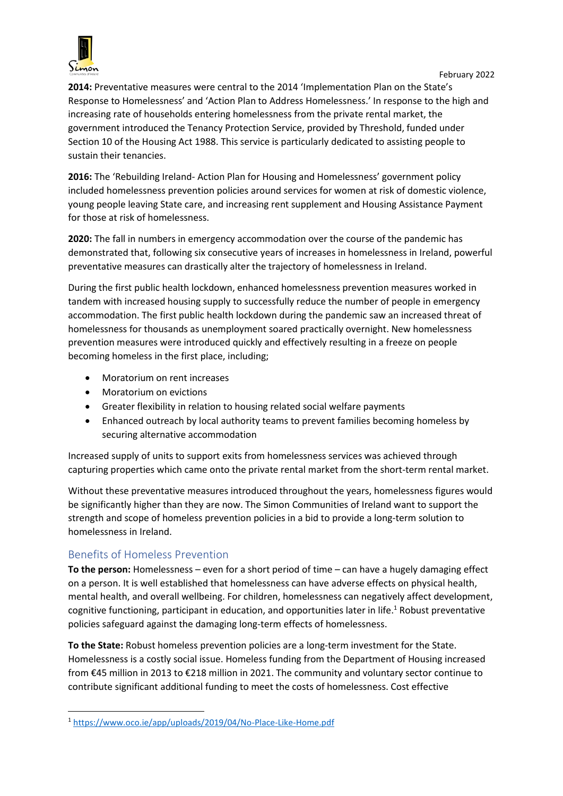

**2014:** Preventative measures were central to the 2014 'Implementation Plan on the State's Response to Homelessness' and 'Action Plan to Address Homelessness.' In response to the high and increasing rate of households entering homelessness from the private rental market, the government introduced the Tenancy Protection Service, provided by Threshold, funded under Section 10 of the Housing Act 1988. This service is particularly dedicated to assisting people to sustain their tenancies.

**2016:** The 'Rebuilding Ireland- Action Plan for Housing and Homelessness' government policy included homelessness prevention policies around services for women at risk of domestic violence, young people leaving State care, and increasing rent supplement and Housing Assistance Payment for those at risk of homelessness.

**2020:** The fall in numbers in emergency accommodation over the course of the pandemic has demonstrated that, following six consecutive years of increases in homelessness in Ireland, powerful preventative measures can drastically alter the trajectory of homelessness in Ireland.

During the first public health lockdown, enhanced homelessness prevention measures worked in tandem with increased housing supply to successfully reduce the number of people in emergency accommodation. The first public health lockdown during the pandemic saw an increased threat of homelessness for thousands as unemployment soared practically overnight. New homelessness prevention measures were introduced quickly and effectively resulting in a freeze on people becoming homeless in the first place, including;

- Moratorium on rent increases
- Moratorium on evictions
- Greater flexibility in relation to housing related social welfare payments
- Enhanced outreach by local authority teams to prevent families becoming homeless by securing alternative accommodation

Increased supply of units to support exits from homelessness services was achieved through capturing properties which came onto the private rental market from the short-term rental market.

Without these preventative measures introduced throughout the years, homelessness figures would be significantly higher than they are now. The Simon Communities of Ireland want to support the strength and scope of homeless prevention policies in a bid to provide a long-term solution to homelessness in Ireland.

# <span id="page-2-0"></span>Benefits of Homeless Prevention

**To the person:** Homelessness – even for a short period of time – can have a hugely damaging effect on a person. It is well established that homelessness can have adverse effects on physical health, mental health, and overall wellbeing. For children, homelessness can negatively affect development, cognitive functioning, participant in education, and opportunities later in life.<sup>1</sup> Robust preventative policies safeguard against the damaging long-term effects of homelessness.

**To the State:** Robust homeless prevention policies are a long-term investment for the State. Homelessness is a costly social issue. Homeless funding from the Department of Housing increased from €45 million in 2013 to €218 million in 2021. The community and voluntary sector continue to contribute significant additional funding to meet the costs of homelessness. Cost effective

**<sup>.</sup>** <sup>1</sup> <https://www.oco.ie/app/uploads/2019/04/No-Place-Like-Home.pdf>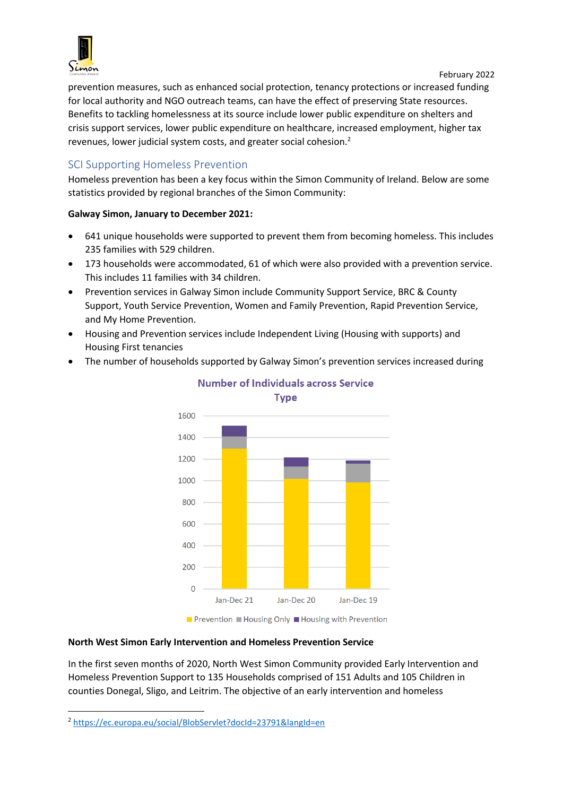

prevention measures, such as enhanced social protection, tenancy protections or increased funding for local authority and NGO outreach teams, can have the effect of preserving State resources. Benefits to tackling homelessness at its source include lower public expenditure on shelters and crisis support services, lower public expenditure on healthcare, increased employment, higher tax revenues, lower judicial system costs, and greater social cohesion.<sup>2</sup>

# <span id="page-3-0"></span>SCI Supporting Homeless Prevention

Homeless prevention has been a key focus within the Simon Community of Ireland. Below are some statistics provided by regional branches of the Simon Community:

#### **Galway Simon, January to December 2021:**

- 641 unique households were supported to prevent them from becoming homeless. This includes 235 families with 529 children.
- 173 households were accommodated, 61 of which were also provided with a prevention service. This includes 11 families with 34 children.
- Prevention services in Galway Simon include Community Support Service, BRC & County Support, Youth Service Prevention, Women and Family Prevention, Rapid Prevention Service, and My Home Prevention.
- Housing and Prevention services include Independent Living (Housing with supports) and Housing First tenancies
- The number of households supported by Galway Simon's prevention services increased during



# Number of Individuals across Service

**Type** 

■ Prevention ■ Housing Only ■ Housing with Prevention

#### **North West Simon Early Intervention and Homeless Prevention Service**

In the first seven months of 2020, North West Simon Community provided Early Intervention and Homeless Prevention Support to 135 Households comprised of 151 Adults and 105 Children in counties Donegal, Sligo, and Leitrim. The objective of an early intervention and homeless

**.** 

<sup>2</sup> <https://ec.europa.eu/social/BlobServlet?docId=23791&langId=en>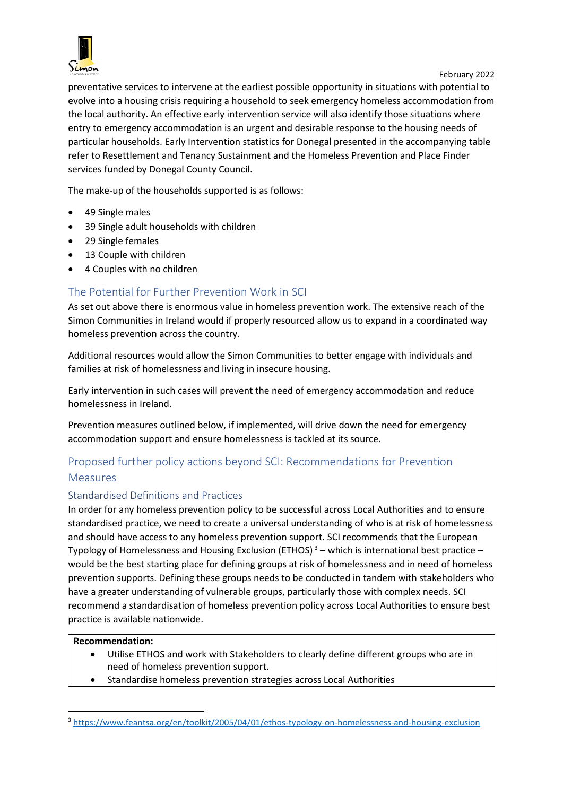

preventative services to intervene at the earliest possible opportunity in situations with potential to evolve into a housing crisis requiring a household to seek emergency homeless accommodation from the local authority. An effective early intervention service will also identify those situations where entry to emergency accommodation is an urgent and desirable response to the housing needs of particular households. Early Intervention statistics for Donegal presented in the accompanying table refer to Resettlement and Tenancy Sustainment and the Homeless Prevention and Place Finder services funded by Donegal County Council.

The make-up of the households supported is as follows:

- 49 Single males
- 39 Single adult households with children
- 29 Single females
- 13 Couple with children
- 4 Couples with no children

# <span id="page-4-0"></span>The Potential for Further Prevention Work in SCI

As set out above there is enormous value in homeless prevention work. The extensive reach of the Simon Communities in Ireland would if properly resourced allow us to expand in a coordinated way homeless prevention across the country.

Additional resources would allow the Simon Communities to better engage with individuals and families at risk of homelessness and living in insecure housing.

Early intervention in such cases will prevent the need of emergency accommodation and reduce homelessness in Ireland.

Prevention measures outlined below, if implemented, will drive down the need for emergency accommodation support and ensure homelessness is tackled at its source.

# <span id="page-4-1"></span>Proposed further policy actions beyond SCI: Recommendations for Prevention Measures

## <span id="page-4-2"></span>Standardised Definitions and Practices

In order for any homeless prevention policy to be successful across Local Authorities and to ensure standardised practice, we need to create a universal understanding of who is at risk of homelessness and should have access to any homeless prevention support. SCI recommends that the European Typology of Homelessness and Housing Exclusion (ETHOS)<sup>3</sup> – which is international best practice – would be the best starting place for defining groups at risk of homelessness and in need of homeless prevention supports. Defining these groups needs to be conducted in tandem with stakeholders who have a greater understanding of vulnerable groups, particularly those with complex needs. SCI recommend a standardisation of homeless prevention policy across Local Authorities to ensure best practice is available nationwide.

#### **Recommendation:**

**.** 

- Utilise ETHOS and work with Stakeholders to clearly define different groups who are in need of homeless prevention support.
- Standardise homeless prevention strategies across Local Authorities

<sup>3</sup> <https://www.feantsa.org/en/toolkit/2005/04/01/ethos-typology-on-homelessness-and-housing-exclusion>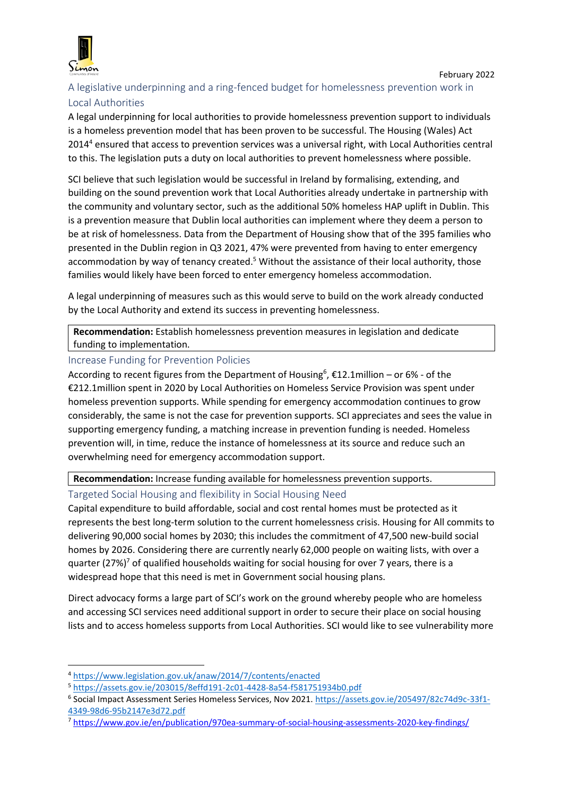

# <span id="page-5-0"></span>A legislative underpinning and a ring-fenced budget for homelessness prevention work in Local Authorities

A legal underpinning for local authorities to provide homelessness prevention support to individuals is a homeless prevention model that has been proven to be successful. The Housing (Wales) Act 2014<sup>4</sup> ensured that access to prevention services was a universal right, with Local Authorities central to this. The legislation puts a duty on local authorities to prevent homelessness where possible.

SCI believe that such legislation would be successful in Ireland by formalising, extending, and building on the sound prevention work that Local Authorities already undertake in partnership with the community and voluntary sector, such as the additional 50% homeless HAP uplift in Dublin. This is a prevention measure that Dublin local authorities can implement where they deem a person to be at risk of homelessness. Data from the Department of Housing show that of the 395 families who presented in the Dublin region in Q3 2021, 47% were prevented from having to enter emergency accommodation by way of tenancy created.<sup>5</sup> Without the assistance of their local authority, those families would likely have been forced to enter emergency homeless accommodation.

A legal underpinning of measures such as this would serve to build on the work already conducted by the Local Authority and extend its success in preventing homelessness.

**Recommendation:** Establish homelessness prevention measures in legislation and dedicate funding to implementation.

### <span id="page-5-1"></span>Increase Funding for Prevention Policies

According to recent figures from the Department of Housing<sup>6</sup>,  $\epsilon$ 12.1 million - or 6% - of the €212.1million spent in 2020 by Local Authorities on Homeless Service Provision was spent under homeless prevention supports. While spending for emergency accommodation continues to grow considerably, the same is not the case for prevention supports. SCI appreciates and sees the value in supporting emergency funding, a matching increase in prevention funding is needed. Homeless prevention will, in time, reduce the instance of homelessness at its source and reduce such an overwhelming need for emergency accommodation support.

**Recommendation:** Increase funding available for homelessness prevention supports.

<span id="page-5-2"></span>Targeted Social Housing and flexibility in Social Housing Need

Capital expenditure to build affordable, social and cost rental homes must be protected as it represents the best long-term solution to the current homelessness crisis. Housing for All commits to delivering 90,000 social homes by 2030; this includes the commitment of 47,500 new-build social homes by 2026. Considering there are currently nearly 62,000 people on waiting lists, with over a quarter (27%)<sup>7</sup> of qualified households waiting for social housing for over 7 years, there is a widespread hope that this need is met in Government social housing plans.

Direct advocacy forms a large part of SCI's work on the ground whereby people who are homeless and accessing SCI services need additional support in order to secure their place on social housing lists and to access homeless supports from Local Authorities. SCI would like to see vulnerability more

 $\overline{\phantom{a}}$ 

<sup>4</sup> <https://www.legislation.gov.uk/anaw/2014/7/contents/enacted>

<sup>5</sup> <https://assets.gov.ie/203015/8effd191-2c01-4428-8a54-f581751934b0.pdf>

<sup>&</sup>lt;sup>6</sup> Social Impact Assessment Series Homeless Services, Nov 2021[. https://assets.gov.ie/205497/82c74d9c-33f1-](https://assets.gov.ie/205497/82c74d9c-33f1-4349-98d6-95b2147e3d72.pdf) [4349-98d6-95b2147e3d72.pdf](https://assets.gov.ie/205497/82c74d9c-33f1-4349-98d6-95b2147e3d72.pdf)

<sup>7</sup> <https://www.gov.ie/en/publication/970ea-summary-of-social-housing-assessments-2020-key-findings/>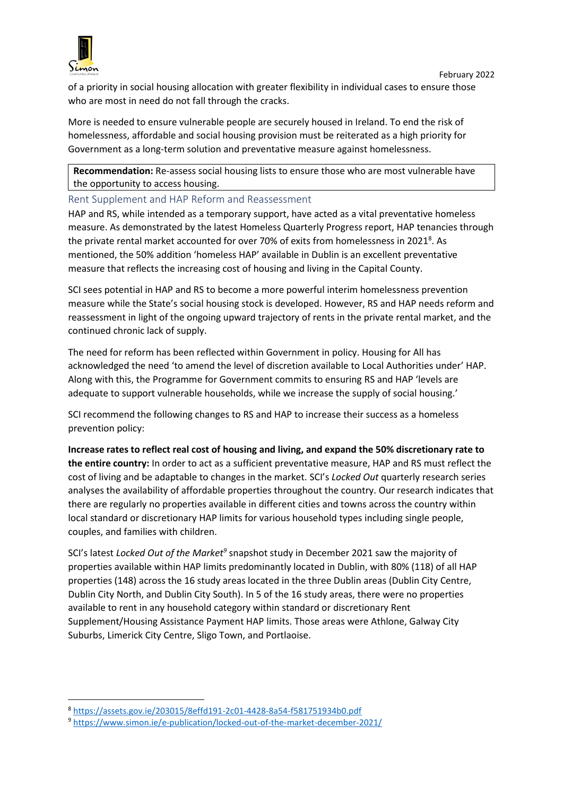

of a priority in social housing allocation with greater flexibility in individual cases to ensure those who are most in need do not fall through the cracks.

More is needed to ensure vulnerable people are securely housed in Ireland. To end the risk of homelessness, affordable and social housing provision must be reiterated as a high priority for Government as a long-term solution and preventative measure against homelessness.

**Recommendation:** Re-assess social housing lists to ensure those who are most vulnerable have the opportunity to access housing.

#### <span id="page-6-0"></span>Rent Supplement and HAP Reform and Reassessment

HAP and RS, while intended as a temporary support, have acted as a vital preventative homeless measure. As demonstrated by the latest Homeless Quarterly Progress report, HAP tenancies through the private rental market accounted for over 70% of exits from homelessness in 2021<sup>8</sup>. As mentioned, the 50% addition 'homeless HAP' available in Dublin is an excellent preventative measure that reflects the increasing cost of housing and living in the Capital County.

SCI sees potential in HAP and RS to become a more powerful interim homelessness prevention measure while the State's social housing stock is developed. However, RS and HAP needs reform and reassessment in light of the ongoing upward trajectory of rents in the private rental market, and the continued chronic lack of supply.

The need for reform has been reflected within Government in policy. Housing for All has acknowledged the need 'to amend the level of discretion available to Local Authorities under' HAP. Along with this, the Programme for Government commits to ensuring RS and HAP 'levels are adequate to support vulnerable households, while we increase the supply of social housing.'

SCI recommend the following changes to RS and HAP to increase their success as a homeless prevention policy:

**Increase rates to reflect real cost of housing and living, and expand the 50% discretionary rate to the entire country:** In order to act as a sufficient preventative measure, HAP and RS must reflect the cost of living and be adaptable to changes in the market. SCI's *Locked Out* quarterly research series analyses the availability of affordable properties throughout the country. Our research indicates that there are regularly no properties available in different cities and towns across the country within local standard or discretionary HAP limits for various household types including single people, couples, and families with children.

SCI's latest *Locked Out of the Market<sup>9</sup>* snapshot study in December 2021 saw the majority of properties available within HAP limits predominantly located in Dublin, with 80% (118) of all HAP properties (148) across the 16 study areas located in the three Dublin areas (Dublin City Centre, Dublin City North, and Dublin City South). In 5 of the 16 study areas, there were no properties available to rent in any household category within standard or discretionary Rent Supplement/Housing Assistance Payment HAP limits. Those areas were Athlone, Galway City Suburbs, Limerick City Centre, Sligo Town, and Portlaoise.

<sup>1</sup> <sup>8</sup> <https://assets.gov.ie/203015/8effd191-2c01-4428-8a54-f581751934b0.pdf>

<sup>9</sup> <https://www.simon.ie/e-publication/locked-out-of-the-market-december-2021/>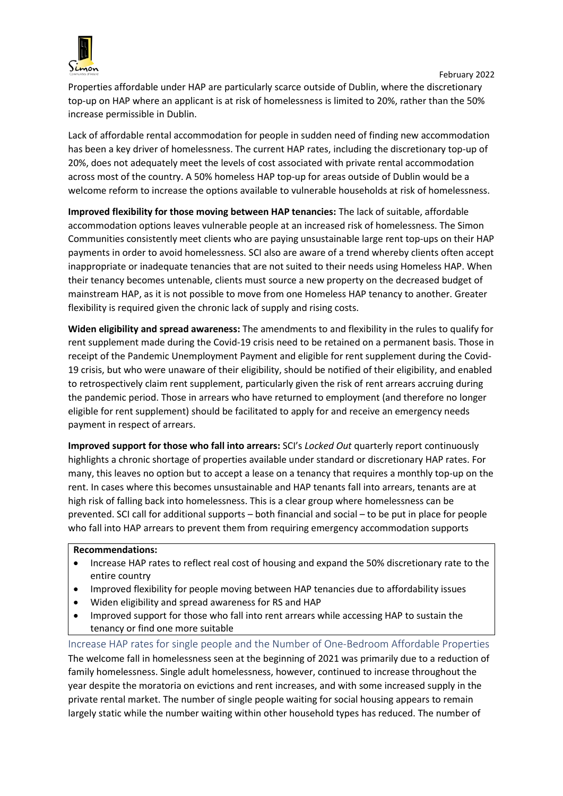

Properties affordable under HAP are particularly scarce outside of Dublin, where the discretionary top-up on HAP where an applicant is at risk of homelessness is limited to 20%, rather than the 50% increase permissible in Dublin.

Lack of affordable rental accommodation for people in sudden need of finding new accommodation has been a key driver of homelessness. The current HAP rates, including the discretionary top-up of 20%, does not adequately meet the levels of cost associated with private rental accommodation across most of the country. A 50% homeless HAP top-up for areas outside of Dublin would be a welcome reform to increase the options available to vulnerable households at risk of homelessness.

**Improved flexibility for those moving between HAP tenancies:** The lack of suitable, affordable accommodation options leaves vulnerable people at an increased risk of homelessness. The Simon Communities consistently meet clients who are paying unsustainable large rent top-ups on their HAP payments in order to avoid homelessness. SCI also are aware of a trend whereby clients often accept inappropriate or inadequate tenancies that are not suited to their needs using Homeless HAP. When their tenancy becomes untenable, clients must source a new property on the decreased budget of mainstream HAP, as it is not possible to move from one Homeless HAP tenancy to another. Greater flexibility is required given the chronic lack of supply and rising costs.

**Widen eligibility and spread awareness:** The amendments to and flexibility in the rules to qualify for rent supplement made during the Covid-19 crisis need to be retained on a permanent basis. Those in receipt of the Pandemic Unemployment Payment and eligible for rent supplement during the Covid-19 crisis, but who were unaware of their eligibility, should be notified of their eligibility, and enabled to retrospectively claim rent supplement, particularly given the risk of rent arrears accruing during the pandemic period. Those in arrears who have returned to employment (and therefore no longer eligible for rent supplement) should be facilitated to apply for and receive an emergency needs payment in respect of arrears.

**Improved support for those who fall into arrears:** SCI's *Locked Out* quarterly report continuously highlights a chronic shortage of properties available under standard or discretionary HAP rates. For many, this leaves no option but to accept a lease on a tenancy that requires a monthly top-up on the rent. In cases where this becomes unsustainable and HAP tenants fall into arrears, tenants are at high risk of falling back into homelessness. This is a clear group where homelessness can be prevented. SCI call for additional supports – both financial and social – to be put in place for people who fall into HAP arrears to prevent them from requiring emergency accommodation supports

#### **Recommendations:**

- Increase HAP rates to reflect real cost of housing and expand the 50% discretionary rate to the entire country
- Improved flexibility for people moving between HAP tenancies due to affordability issues
- Widen eligibility and spread awareness for RS and HAP
- Improved support for those who fall into rent arrears while accessing HAP to sustain the tenancy or find one more suitable

<span id="page-7-0"></span>Increase HAP rates for single people and the Number of One-Bedroom Affordable Properties The welcome fall in homelessness seen at the beginning of 2021 was primarily due to a reduction of family homelessness. Single adult homelessness, however, continued to increase throughout the year despite the moratoria on evictions and rent increases, and with some increased supply in the private rental market. The number of single people waiting for social housing appears to remain largely static while the number waiting within other household types has reduced. The number of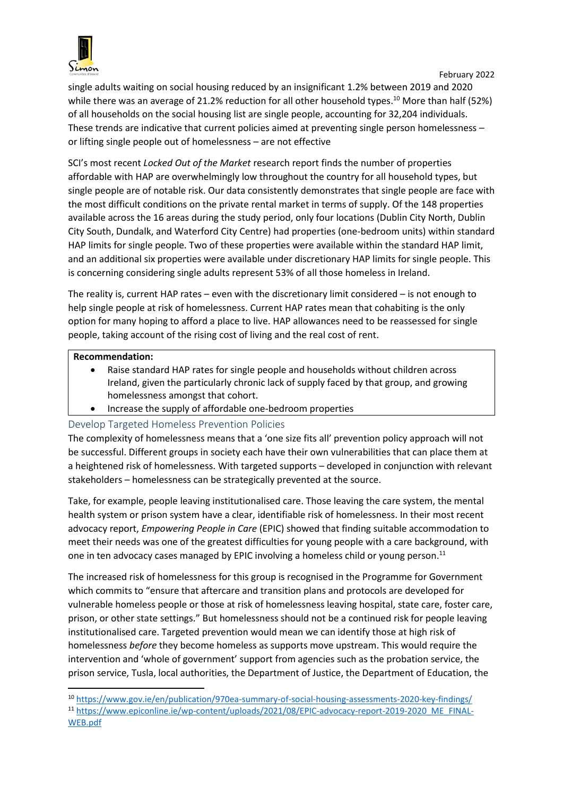

single adults waiting on social housing reduced by an insignificant 1.2% between 2019 and 2020 while there was an average of 21.2% reduction for all other household types.<sup>10</sup> More than half (52%) of all households on the social housing list are single people, accounting for 32,204 individuals. These trends are indicative that current policies aimed at preventing single person homelessness – or lifting single people out of homelessness – are not effective

SCI's most recent *Locked Out of the Market* research report finds the number of properties affordable with HAP are overwhelmingly low throughout the country for all household types, but single people are of notable risk. Our data consistently demonstrates that single people are face with the most difficult conditions on the private rental market in terms of supply. Of the 148 properties available across the 16 areas during the study period, only four locations (Dublin City North, Dublin City South, Dundalk, and Waterford City Centre) had properties (one-bedroom units) within standard HAP limits for single people. Two of these properties were available within the standard HAP limit, and an additional six properties were available under discretionary HAP limits for single people. This is concerning considering single adults represent 53% of all those homeless in Ireland.

The reality is, current HAP rates – even with the discretionary limit considered – is not enough to help single people at risk of homelessness. Current HAP rates mean that cohabiting is the only option for many hoping to afford a place to live. HAP allowances need to be reassessed for single people, taking account of the rising cost of living and the real cost of rent.

#### **Recommendation:**

- Raise standard HAP rates for single people and households without children across Ireland, given the particularly chronic lack of supply faced by that group, and growing homelessness amongst that cohort.
- Increase the supply of affordable one-bedroom properties

## <span id="page-8-0"></span>Develop Targeted Homeless Prevention Policies

The complexity of homelessness means that a 'one size fits all' prevention policy approach will not be successful. Different groups in society each have their own vulnerabilities that can place them at a heightened risk of homelessness. With targeted supports – developed in conjunction with relevant stakeholders – homelessness can be strategically prevented at the source.

Take, for example, people leaving institutionalised care. Those leaving the care system, the mental health system or prison system have a clear, identifiable risk of homelessness. In their most recent advocacy report, *Empowering People in Care* (EPIC) showed that finding suitable accommodation to meet their needs was one of the greatest difficulties for young people with a care background, with one in ten advocacy cases managed by EPIC involving a homeless child or young person.<sup>11</sup>

The increased risk of homelessness for this group is recognised in the Programme for Government which commits to "ensure that aftercare and transition plans and protocols are developed for vulnerable homeless people or those at risk of homelessness leaving hospital, state care, foster care, prison, or other state settings." But homelessness should not be a continued risk for people leaving institutionalised care. Targeted prevention would mean we can identify those at high risk of homelessness *before* they become homeless as supports move upstream. This would require the intervention and 'whole of government' support from agencies such as the probation service, the prison service, Tusla, local authorities, the Department of Justice, the Department of Education, the

**.** <sup>10</sup> <https://www.gov.ie/en/publication/970ea-summary-of-social-housing-assessments-2020-key-findings/>

<sup>11</sup> [https://www.epiconline.ie/wp-content/uploads/2021/08/EPIC-advocacy-report-2019-2020\\_ME\\_FINAL-](https://www.epiconline.ie/wp-content/uploads/2021/08/EPIC-advocacy-report-2019-2020_ME_FINAL-WEB.pdf)[WEB.pdf](https://www.epiconline.ie/wp-content/uploads/2021/08/EPIC-advocacy-report-2019-2020_ME_FINAL-WEB.pdf)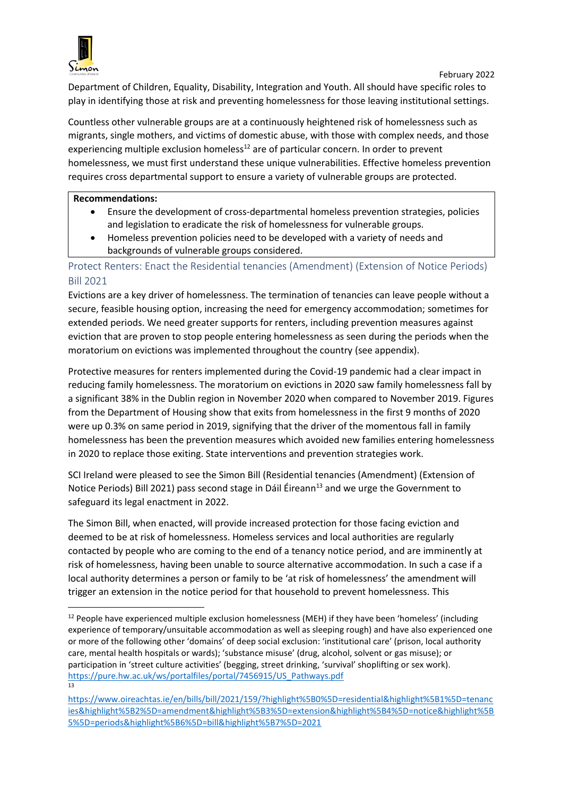

**.** 

Department of Children, Equality, Disability, Integration and Youth. All should have specific roles to play in identifying those at risk and preventing homelessness for those leaving institutional settings.

Countless other vulnerable groups are at a continuously heightened risk of homelessness such as migrants, single mothers, and victims of domestic abuse, with those with complex needs, and those experiencing multiple exclusion homeless $^{12}$  are of particular concern. In order to prevent homelessness, we must first understand these unique vulnerabilities. Effective homeless prevention requires cross departmental support to ensure a variety of vulnerable groups are protected.

#### **Recommendations:**

- Ensure the development of cross-departmental homeless prevention strategies, policies and legislation to eradicate the risk of homelessness for vulnerable groups.
- Homeless prevention policies need to be developed with a variety of needs and backgrounds of vulnerable groups considered.

# <span id="page-9-0"></span>Protect Renters: Enact the Residential tenancies (Amendment) (Extension of Notice Periods) Bill 2021

Evictions are a key driver of homelessness. The termination of tenancies can leave people without a secure, feasible housing option, increasing the need for emergency accommodation; sometimes for extended periods. We need greater supports for renters, including prevention measures against eviction that are proven to stop people entering homelessness as seen during the periods when the moratorium on evictions was implemented throughout the country (see appendix).

Protective measures for renters implemented during the Covid-19 pandemic had a clear impact in reducing family homelessness. The moratorium on evictions in 2020 saw family homelessness fall by a significant 38% in the Dublin region in November 2020 when compared to November 2019. Figures from the Department of Housing show that exits from homelessness in the first 9 months of 2020 were up 0.3% on same period in 2019, signifying that the driver of the momentous fall in family homelessness has been the prevention measures which avoided new families entering homelessness in 2020 to replace those exiting. State interventions and prevention strategies work.

SCI Ireland were pleased to see the Simon Bill (Residential tenancies (Amendment) (Extension of Notice Periods) Bill 2021) pass second stage in Dáil Éireann<sup>13</sup> and we urge the Government to safeguard its legal enactment in 2022.

The Simon Bill, when enacted, will provide increased protection for those facing eviction and deemed to be at risk of homelessness. Homeless services and local authorities are regularly contacted by people who are coming to the end of a tenancy notice period, and are imminently at risk of homelessness, having been unable to source alternative accommodation. In such a case if a local authority determines a person or family to be 'at risk of homelessness' the amendment will trigger an extension in the notice period for that household to prevent homelessness. This

 $12$  People have experienced multiple exclusion homelessness (MEH) if they have been 'homeless' (including experience of temporary/unsuitable accommodation as well as sleeping rough) and have also experienced one or more of the following other 'domains' of deep social exclusion: 'institutional care' (prison, local authority care, mental health hospitals or wards); 'substance misuse' (drug, alcohol, solvent or gas misuse); or participation in 'street culture activities' (begging, street drinking, 'survival' shoplifting or sex work). [https://pure.hw.ac.uk/ws/portalfiles/portal/7456915/US\\_Pathways.pdf](https://pure.hw.ac.uk/ws/portalfiles/portal/7456915/US_Pathways.pdf) 13

[https://www.oireachtas.ie/en/bills/bill/2021/159/?highlight%5B0%5D=residential&highlight%5B1%5D=tenanc](https://www.oireachtas.ie/en/bills/bill/2021/159/?highlight%5B0%5D=residential&highlight%5B1%5D=tenancies&highlight%5B2%5D=amendment&highlight%5B3%5D=extension&highlight%5B4%5D=notice&highlight%5B5%5D=periods&highlight%5B6%5D=bill&highlight%5B7%5D=2021) [ies&highlight%5B2%5D=amendment&highlight%5B3%5D=extension&highlight%5B4%5D=notice&highlight%5B](https://www.oireachtas.ie/en/bills/bill/2021/159/?highlight%5B0%5D=residential&highlight%5B1%5D=tenancies&highlight%5B2%5D=amendment&highlight%5B3%5D=extension&highlight%5B4%5D=notice&highlight%5B5%5D=periods&highlight%5B6%5D=bill&highlight%5B7%5D=2021) [5%5D=periods&highlight%5B6%5D=bill&highlight%5B7%5D=2021](https://www.oireachtas.ie/en/bills/bill/2021/159/?highlight%5B0%5D=residential&highlight%5B1%5D=tenancies&highlight%5B2%5D=amendment&highlight%5B3%5D=extension&highlight%5B4%5D=notice&highlight%5B5%5D=periods&highlight%5B6%5D=bill&highlight%5B7%5D=2021)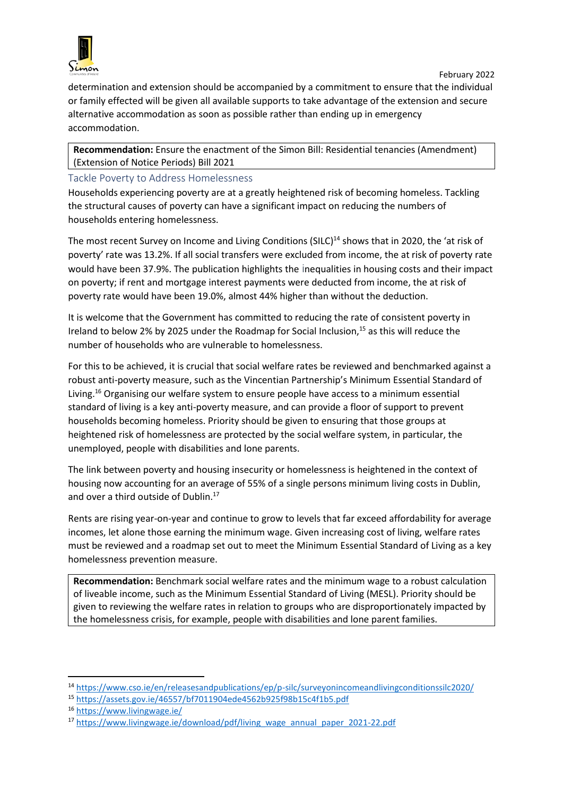

determination and extension should be accompanied by a commitment to ensure that the individual or family effected will be given all available supports to take advantage of the extension and secure alternative accommodation as soon as possible rather than ending up in emergency accommodation.

**Recommendation:** Ensure the enactment of the Simon Bill: Residential tenancies (Amendment) (Extension of Notice Periods) Bill 2021

#### <span id="page-10-0"></span>Tackle Poverty to Address Homelessness

Households experiencing poverty are at a greatly heightened risk of becoming homeless. Tackling the structural causes of poverty can have a significant impact on reducing the numbers of households entering homelessness.

The most recent Survey on Income and Living Conditions (SILC)<sup>14</sup> shows that in 2020, the 'at risk of poverty' rate was 13.2%. If all social transfers were excluded from income, the at risk of poverty rate would have been 37.9%. The publication highlights the inequalities in housing costs and their impact on poverty; if rent and mortgage interest payments were deducted from income, the at risk of poverty rate would have been 19.0%, almost 44% higher than without the deduction.

It is welcome that the Government has committed to reducing the rate of consistent poverty in Ireland to below 2% by 2025 under the Roadmap for Social Inclusion,<sup>15</sup> as this will reduce the number of households who are vulnerable to homelessness.

For this to be achieved, it is crucial that social welfare rates be reviewed and benchmarked against a robust anti-poverty measure, such as the Vincentian Partnership's Minimum Essential Standard of Living.<sup>16</sup> Organising our welfare system to ensure people have access to a minimum essential standard of living is a key anti-poverty measure, and can provide a floor of support to prevent households becoming homeless. Priority should be given to ensuring that those groups at heightened risk of homelessness are protected by the social welfare system, in particular, the unemployed, people with disabilities and lone parents.

The link between poverty and housing insecurity or homelessness is heightened in the context of housing now accounting for an average of 55% of a single persons minimum living costs in Dublin, and over a third outside of Dublin.<sup>17</sup>

Rents are rising year-on-year and continue to grow to levels that far exceed affordability for average incomes, let alone those earning the minimum wage. Given increasing cost of living, welfare rates must be reviewed and a roadmap set out to meet the Minimum Essential Standard of Living as a key homelessness prevention measure.

**Recommendation:** Benchmark social welfare rates and the minimum wage to a robust calculation of liveable income, such as the Minimum Essential Standard of Living (MESL). Priority should be given to reviewing the welfare rates in relation to groups who are disproportionately impacted by the homelessness crisis, for example, people with disabilities and lone parent families.

**.** 

<sup>14</sup> <https://www.cso.ie/en/releasesandpublications/ep/p-silc/surveyonincomeandlivingconditionssilc2020/>

<sup>15</sup> <https://assets.gov.ie/46557/bf7011904ede4562b925f98b15c4f1b5.pdf>

<sup>16</sup> <https://www.livingwage.ie/>

<sup>17</sup> [https://www.livingwage.ie/download/pdf/living\\_wage\\_annual\\_paper\\_2021-22.pdf](https://www.livingwage.ie/download/pdf/living_wage_annual_paper_2021-22.pdf)